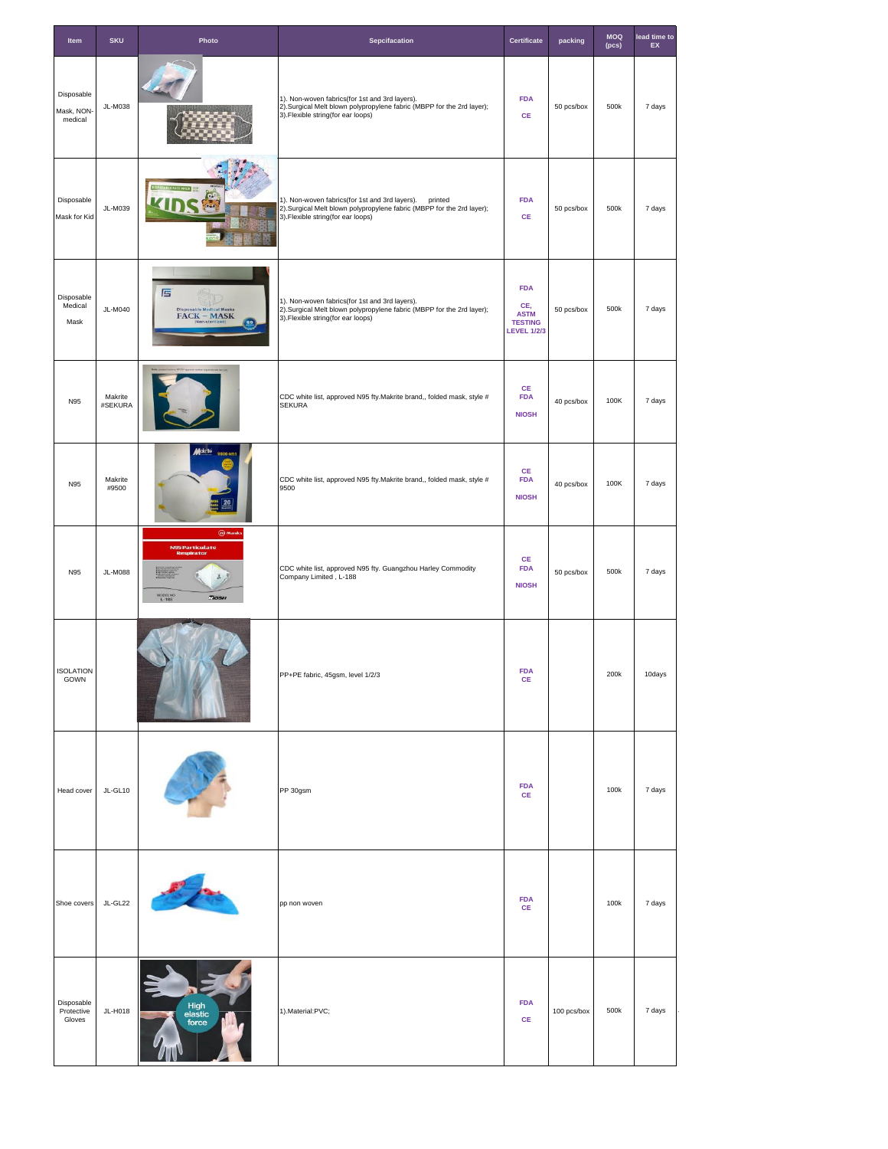| Item                               | <b>SKU</b>         | Photo                                                                   | Sepcifacation                                                                                                                                                         | Certificate                                                              | packing     | <b>MOQ</b><br>(pcs) | lead time to<br>EX |
|------------------------------------|--------------------|-------------------------------------------------------------------------|-----------------------------------------------------------------------------------------------------------------------------------------------------------------------|--------------------------------------------------------------------------|-------------|---------------------|--------------------|
| Disposable<br>Mask, NON<br>medical | JL-M038            |                                                                         | 1). Non-woven fabrics(for 1st and 3rd layers).<br>2).Surgical Melt blown polypropylene fabric (MBPP for the 2rd layer);<br>3). Flexible string(for ear loops)         | <b>FDA</b><br>CE                                                         | 50 pcs/box  | 500k                | 7 days             |
| Disposable<br>Mask for Kid         | JL-M039            |                                                                         | 1). Non-woven fabrics(for 1st and 3rd layers). printed<br>2).Surgical Melt blown polypropylene fabric (MBPP for the 2rd layer);<br>3). Flexible string(for ear loops) | <b>FDA</b><br>CE                                                         | 50 pcs/box  | 500k                | 7 days             |
| Disposable<br>Medical<br>Mask      | JL-M040            | 匾<br><b>Disposable Medical Masks</b><br>$\textbf{FACK} - \textbf{MASK}$ | 1). Non-woven fabrics(for 1st and 3rd layers).<br>2).Surgical Melt blown polypropylene fabric (MBPP for the 2rd layer);<br>3). Flexible string(for ear loops)         | <b>FDA</b><br>CE,<br><b>ASTM</b><br><b>TESTING</b><br><b>LEVEL 1/2/3</b> | 50 pcs/box  | 500k                | 7 days             |
| N95                                | Makrite<br>#SEKURA |                                                                         | CDC white list, approved N95 fty. Makrite brand,, folded mask, style #<br><b>SEKURA</b>                                                                               | CE<br><b>FDA</b><br><b>NIOSH</b>                                         | 40 pcs/box  | 100K                | 7 days             |
| N95                                | Makrite<br>#9500   | lakrite                                                                 | CDC white list, approved N95 fty. Makrite brand,, folded mask, style #<br>9500                                                                                        | $\mathsf{CE}$<br><b>FDA</b><br><b>NIOSH</b>                              | 40 pcs/box  | 100K                | 7 days             |
| N95                                | <b>JL-M088</b>     | @ Mask<br>N95 Particulate<br><b>MODEL NO</b><br>L-188<br>TIOSH          | CDC white list, approved N95 fty. Guangzhou Harley Commodity<br>Company Limited, L-188                                                                                | <b>CE</b><br><b>FDA</b><br><b>NIOSH</b>                                  | 50 pcs/box  | 500k                | 7 days             |
| <b>ISOLATION</b><br>GOWN           |                    |                                                                         | PP+PE fabric, 45gsm, level 1/2/3                                                                                                                                      | <b>FDA</b><br>$\mathsf{CE}$                                              |             | 200k                | 10days             |
| Head cover                         | JL-GL10            |                                                                         | PP 30gsm                                                                                                                                                              | <b>FDA</b><br>CE                                                         |             | 100k                | 7 days             |
| Shoe covers                        | JL-GL22            |                                                                         | pp non woven                                                                                                                                                          | <b>FDA</b><br><b>CE</b>                                                  |             | 100k                | 7 days             |
| Disposable<br>Protective<br>Gloves | JL-H018            | High<br>elastic<br>force                                                | 1).Material:PVC;                                                                                                                                                      | <b>FDA</b><br>$\mathsf{CE}$                                              | 100 pcs/box | 500k                | 7 days             |